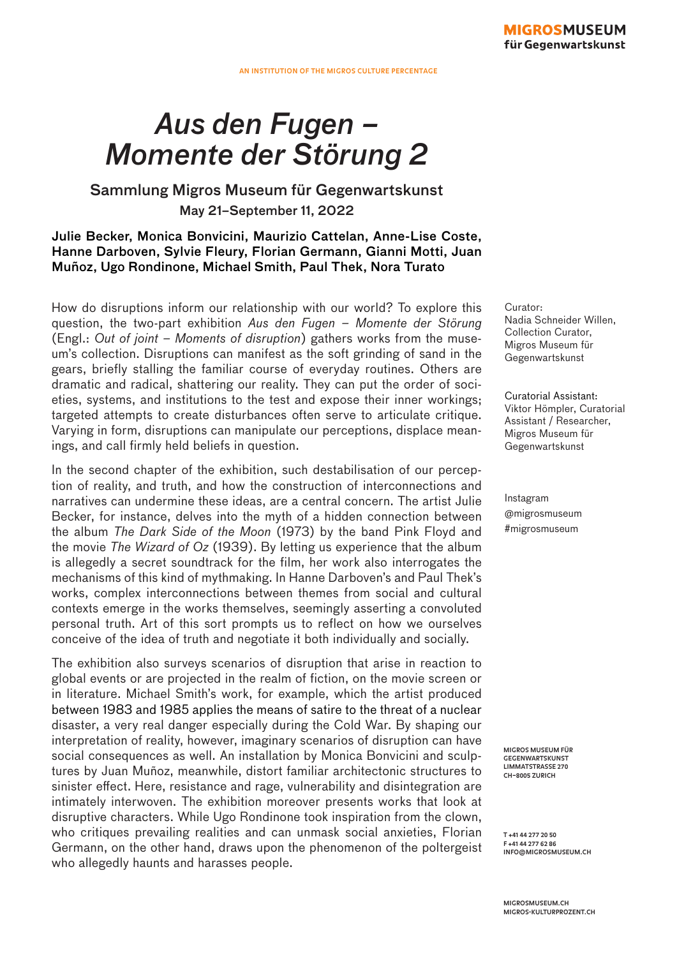#### **MIGROSMUSEUM** für Gegenwartskunst

# *Aus den Fugen – Momente der Störung 2*

## Sammlung Migros Museum für Gegenwartskunst May 21–September 11, 2022

#### Julie Becker, Monica Bonvicini, Maurizio Cattelan, Anne-Lise Coste, Hanne Darboven, Sylvie Fleury, Florian Germann, Gianni Motti, Juan Muñoz, Ugo Rondinone, Michael Smith, Paul Thek, Nora Turato

How do disruptions inform our relationship with our world? To explore this question, the two-part exhibition *Aus den Fugen – Momente der Störung* (Engl.: *Out of joint – Moments of disruption*) gathers works from the museum's collection. Disruptions can manifest as the soft grinding of sand in the gears, briefly stalling the familiar course of everyday routines. Others are dramatic and radical, shattering our reality. They can put the order of societies, systems, and institutions to the test and expose their inner workings; targeted attempts to create disturbances often serve to articulate critique. Varying in form, disruptions can manipulate our perceptions, displace meanings, and call firmly held beliefs in question.

In the second chapter of the exhibition, such destabilisation of our perception of reality, and truth, and how the construction of interconnections and narratives can undermine these ideas, are a central concern. The artist Julie Becker, for instance, delves into the myth of a hidden connection between the album *The Dark Side of the Moon* (1973) by the band Pink Floyd and the movie *The Wizard of Oz* (1939). By letting us experience that the album is allegedly a secret soundtrack for the film, her work also interrogates the mechanisms of this kind of mythmaking. In Hanne Darboven's and Paul Thek's works, complex interconnections between themes from social and cultural contexts emerge in the works themselves, seemingly asserting a convoluted personal truth. Art of this sort prompts us to reflect on how we ourselves conceive of the idea of truth and negotiate it both individually and socially.

The exhibition also surveys scenarios of disruption that arise in reaction to global events or are projected in the realm of fiction, on the movie screen or in literature. Michael Smith's work, for example, which the artist produced between 1983 and 1985 applies the means of satire to the threat of a nuclear disaster, a very real danger especially during the Cold War. By shaping our interpretation of reality, however, imaginary scenarios of disruption can have social consequences as well. An installation by Monica Bonvicini and sculptures by Juan Muñoz, meanwhile, distort familiar architectonic structures to sinister effect. Here, resistance and rage, vulnerability and disintegration are intimately interwoven. The exhibition moreover presents works that look at disruptive characters. While Ugo Rondinone took inspiration from the clown, who critiques prevailing realities and can unmask social anxieties, Florian Germann, on the other hand, draws upon the phenomenon of the poltergeist who allegedly haunts and harasses people.

Curator: Nadia Schneider Willen, Collection Curator, Migros Museum für Gegenwartskunst

Curatorial Assistant: Viktor Hömpler, Curatorial Assistant / Researcher, Migros Museum für Gegenwartskunst

Instagram @migrosmuseum #migrosmuseum

**MIGROS MUSEUM FÜR GEGENWARTSKUNST LIMMATSTRASSE 270 CH–8005 ZURICH**

**T +41 44 277 20 50 F +41 44 277 62 86 INFO@MIGROSMUSEUM.CH**